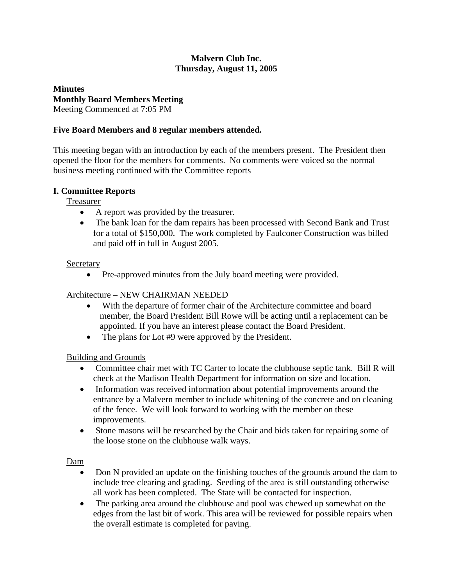## **Malvern Club Inc. Thursday, August 11, 2005**

# **Minutes Monthly Board Members Meeting**

Meeting Commenced at 7:05 PM

## **Five Board Members and 8 regular members attended.**

This meeting began with an introduction by each of the members present. The President then opened the floor for the members for comments. No comments were voiced so the normal business meeting continued with the Committee reports

## **I. Committee Reports**

Treasurer

- A report was provided by the treasurer.
- The bank loan for the dam repairs has been processed with Second Bank and Trust for a total of \$150,000. The work completed by Faulconer Construction was billed and paid off in full in August 2005.

## Secretary

• Pre-approved minutes from the July board meeting were provided.

# Architecture – NEW CHAIRMAN NEEDED

- With the departure of former chair of the Architecture committee and board member, the Board President Bill Rowe will be acting until a replacement can be appointed. If you have an interest please contact the Board President.
- The plans for Lot #9 were approved by the President.

# Building and Grounds

- Committee chair met with TC Carter to locate the clubhouse septic tank. Bill R will check at the Madison Health Department for information on size and location.
- Information was received information about potential improvements around the entrance by a Malvern member to include whitening of the concrete and on cleaning of the fence. We will look forward to working with the member on these improvements.
- Stone masons will be researched by the Chair and bids taken for repairing some of the loose stone on the clubhouse walk ways.

## Dam

- Don N provided an update on the finishing touches of the grounds around the dam to include tree clearing and grading. Seeding of the area is still outstanding otherwise all work has been completed. The State will be contacted for inspection.
- The parking area around the clubhouse and pool was chewed up somewhat on the edges from the last bit of work. This area will be reviewed for possible repairs when the overall estimate is completed for paving.